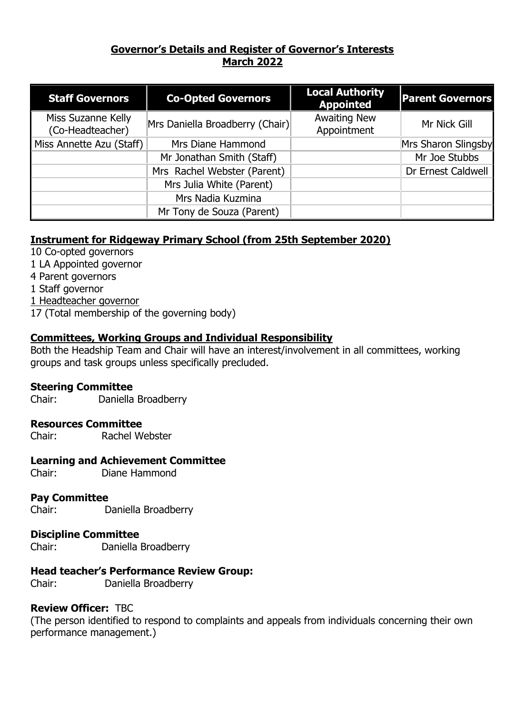# **Governor's Details and Register of Governor's Interests March 2022**

| <b>Staff Governors</b>                 | <b>Co-Opted Governors</b>       | <b>Local Authority</b><br><b>Appointed</b> | <b>Parent Governors</b> |
|----------------------------------------|---------------------------------|--------------------------------------------|-------------------------|
| Miss Suzanne Kelly<br>(Co-Headteacher) | Mrs Daniella Broadberry (Chair) | <b>Awaiting New</b><br>Appointment         | Mr Nick Gill            |
| Miss Annette Azu (Staff)               | Mrs Diane Hammond               |                                            | Mrs Sharon Slingsby     |
|                                        | Mr Jonathan Smith (Staff)       |                                            | Mr Joe Stubbs           |
|                                        | Mrs Rachel Webster (Parent)     |                                            | Dr Ernest Caldwell      |
|                                        | Mrs Julia White (Parent)        |                                            |                         |
|                                        | Mrs Nadia Kuzmina               |                                            |                         |
|                                        | Mr Tony de Souza (Parent)       |                                            |                         |

# **Instrument for Ridgeway Primary School (from 25th September 2020)**

- 10 Co-opted governors
- 1 LA Appointed governor
- 4 Parent governors
- 1 Staff governor
- 1 Headteacher governor
- 17 (Total membership of the governing body)

# **Committees, Working Groups and Individual Responsibility**

Both the Headship Team and Chair will have an interest/involvement in all committees, working groups and task groups unless specifically precluded.

#### **Steering Committee**

Chair: Daniella Broadberry

### **Resources Committee**

Chair: Rachel Webster

### **Learning and Achievement Committee**

Chair: Diane Hammond

### **Pay Committee**

Chair: Daniella Broadberry

### **Discipline Committee**

Chair: Daniella Broadberry

### **Head teacher's Performance Review Group:**

Chair: Daniella Broadberry

### **Review Officer:** TBC

(The person identified to respond to complaints and appeals from individuals concerning their own performance management.)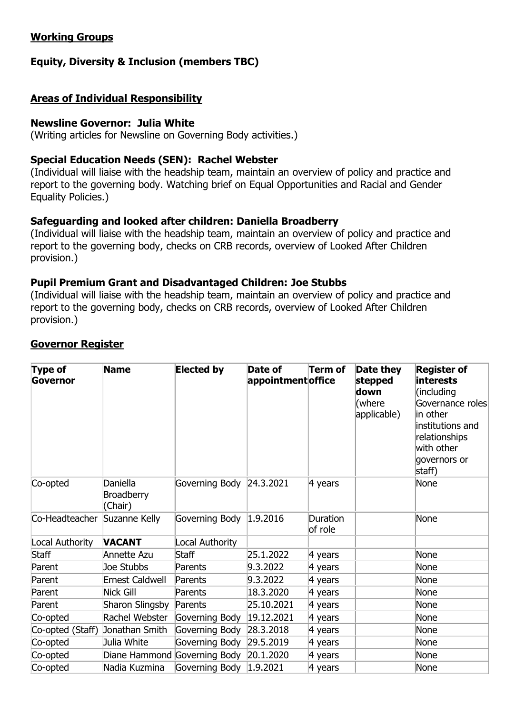# **Working Groups**

# **Equity, Diversity & Inclusion (members TBC)**

# **Areas of Individual Responsibility**

### **Newsline Governor: Julia White**

(Writing articles for Newsline on Governing Body activities.)

### **Special Education Needs (SEN): Rachel Webster**

(Individual will liaise with the headship team, maintain an overview of policy and practice and report to the governing body. Watching brief on Equal Opportunities and Racial and Gender Equality Policies.)

# **Safeguarding and looked after children: Daniella Broadberry**

(Individual will liaise with the headship team, maintain an overview of policy and practice and report to the governing body, checks on CRB records, overview of Looked After Children provision.)

### **Pupil Premium Grant and Disadvantaged Children: Joe Stubbs**

(Individual will liaise with the headship team, maintain an overview of policy and practice and report to the governing body, checks on CRB records, overview of Looked After Children provision.)

| <b>Type of</b><br>Governor   | <b>Name</b>                              | <b>Elected by</b>            | Date of<br>appointmentoffice | Term of             | Date they<br>stepped<br>down<br>(where<br>applicable) | <b>Register of</b><br>interests<br>(including<br>Governance roles<br>in other<br>institutions and<br>relationships<br>with other<br>governors or<br>staff) |
|------------------------------|------------------------------------------|------------------------------|------------------------------|---------------------|-------------------------------------------------------|------------------------------------------------------------------------------------------------------------------------------------------------------------|
| Co-opted                     | Daniella<br><b>Broadberry</b><br>(Chair) | Governing Body 24.3.2021     |                              | $\vert$ 4 years     |                                                       | None                                                                                                                                                       |
| Co-Headteacher Suzanne Kelly |                                          | Governing Body 1.9.2016      |                              | Duration<br>of role |                                                       | None                                                                                                                                                       |
| Local Authority              | <b>VACANT</b>                            | Local Authority              |                              |                     |                                                       |                                                                                                                                                            |
| <b>Staff</b>                 | Annette Azu                              | Staff                        | 25.1.2022                    | 4 years             |                                                       | None                                                                                                                                                       |
| Parent                       | Joe Stubbs                               | Parents                      | 9.3.2022                     | 4 years             |                                                       | None                                                                                                                                                       |
| Parent                       | <b>Ernest Caldwell</b>                   | Parents                      | 9.3.2022                     | 4 years             |                                                       | None                                                                                                                                                       |
| Parent                       | Nick Gill                                | Parents                      | 18.3.2020                    | $\vert$ 4 years     |                                                       | None                                                                                                                                                       |
| Parent                       | Sharon Slingsby                          | Parents                      | 25.10.2021                   | 4 years             |                                                       | <b>None</b>                                                                                                                                                |
| Co-opted                     | Rachel Webster                           | Governing Body               | 19.12.2021                   | 4 years             |                                                       | None                                                                                                                                                       |
| Co-opted (Staff)             | Jonathan Smith                           | Governing Body               | 28.3.2018                    | 4 years             |                                                       | <b>None</b>                                                                                                                                                |
| Co-opted                     | Julia White                              | Governing Body               | 29.5.2019                    | 4 years             |                                                       | None                                                                                                                                                       |
| Co-opted                     |                                          | Diane Hammond Governing Body | 20.1.2020                    | 4 years             |                                                       | None                                                                                                                                                       |
| Co-opted                     | Nadia Kuzmina                            | Governing Body $ 1.9.2021$   |                              | 4 years             |                                                       | None                                                                                                                                                       |

### **Governor Register**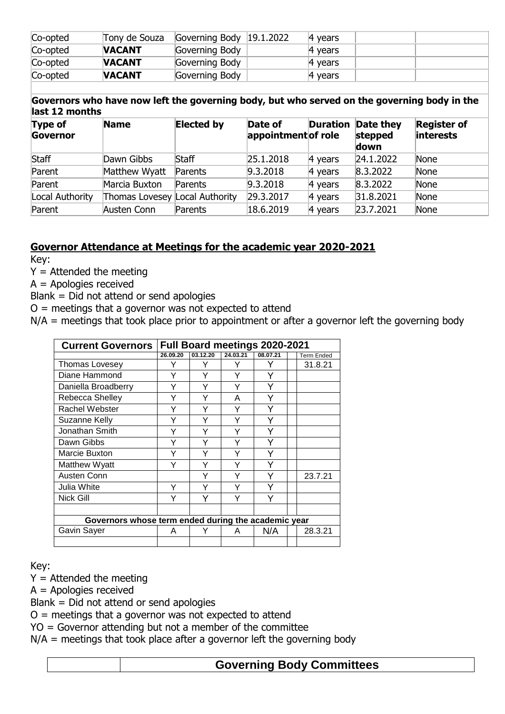| Co-opted | Tony de Souza | Governing Body $ 19.1.2022\rangle$ | A vears |  |
|----------|---------------|------------------------------------|---------|--|
| Co-opted | <b>NACANT</b> | Governing Body                     | 4 vears |  |
| Co-opted | <b>VACANT</b> | Governing Body                     | 4 years |  |
| Co-opted | <b>VACANT</b> | Governing Body                     | 4 vears |  |

**Governors who have now left the governing body, but who served on the governing body in the last 12 months**

| <b>Type of</b><br>Governor | <b>Name</b>                    | <b>Elected by</b> | Date of<br>appointment of role |                 | <b>Duration Date they</b><br>stepped<br>down | <b>Register of</b><br>interests |
|----------------------------|--------------------------------|-------------------|--------------------------------|-----------------|----------------------------------------------|---------------------------------|
| Staff                      | Dawn Gibbs                     | Staff             | 25.1.2018                      | $\vert$ 4 years | [24.1.2022]                                  | None                            |
| Parent                     | Matthew Wyatt                  | Parents           | 9.3.2018                       | $\vert$ 4 years | 8.3.2022                                     | None                            |
| Parent                     | Marcia Buxton                  | Parents           | 9.3.2018                       | $\vert$ 4 years | 8.3.2022                                     | None                            |
| Local Authority            | Thomas Lovesey Local Authority |                   | 29.3.2017                      | $\vert$ 4 years | 31.8.2021                                    | None                            |
| Parent                     | Austen Conn                    | Parents           | 18.6.2019                      | $\vert$ 4 years | 23.7.2021                                    | None                            |

### **Governor Attendance at Meetings for the academic year 2020-2021**

Key:

 $Y =$  Attended the meeting

A = Apologies received

Blank = Did not attend or send apologies

 $O =$  meetings that a governor was not expected to attend

 $N/A$  = meetings that took place prior to appointment or after a governor left the governing body

| <b>Current Governors</b>                            | <b>Full Board meetings 2020-2021</b> |          |          |          |  |                   |  |  |  |  |
|-----------------------------------------------------|--------------------------------------|----------|----------|----------|--|-------------------|--|--|--|--|
|                                                     | 26.09.20                             | 03.12.20 | 24.03.21 | 08.07.21 |  | <b>Term Ended</b> |  |  |  |  |
| Thomas Lovesey                                      |                                      |          |          |          |  | 31.8.21           |  |  |  |  |
| Diane Hammond                                       |                                      |          |          |          |  |                   |  |  |  |  |
| Daniella Broadberry                                 |                                      | Y        |          | Υ        |  |                   |  |  |  |  |
| Rebecca Shelley                                     |                                      | Y        | A        | Υ        |  |                   |  |  |  |  |
| Rachel Webster                                      |                                      | Y        |          |          |  |                   |  |  |  |  |
| Suzanne Kelly                                       |                                      | Y        |          |          |  |                   |  |  |  |  |
| Jonathan Smith                                      |                                      | Y        |          |          |  |                   |  |  |  |  |
| Dawn Gibbs                                          |                                      |          |          |          |  |                   |  |  |  |  |
| Marcie Buxton                                       |                                      |          |          |          |  |                   |  |  |  |  |
| Matthew Wyatt                                       |                                      |          |          |          |  |                   |  |  |  |  |
| Austen Conn                                         |                                      |          |          |          |  | 23.7.21           |  |  |  |  |
| Julia White                                         |                                      |          |          |          |  |                   |  |  |  |  |
| <b>Nick Gill</b>                                    |                                      |          |          |          |  |                   |  |  |  |  |
|                                                     |                                      |          |          |          |  |                   |  |  |  |  |
| Governors whose term ended during the academic year |                                      |          |          |          |  |                   |  |  |  |  |
| Gavin Sayer                                         | N/A<br>28.3.21<br>А<br>A             |          |          |          |  |                   |  |  |  |  |
|                                                     |                                      |          |          |          |  |                   |  |  |  |  |

Key:

 $Y =$  Attended the meeting

A = Apologies received

Blank = Did not attend or send apologies

 $O =$  meetings that a governor was not expected to attend

YO = Governor attending but not a member of the committee

 $N/A$  = meetings that took place after a governor left the governing body

### **Governing Body Committees**